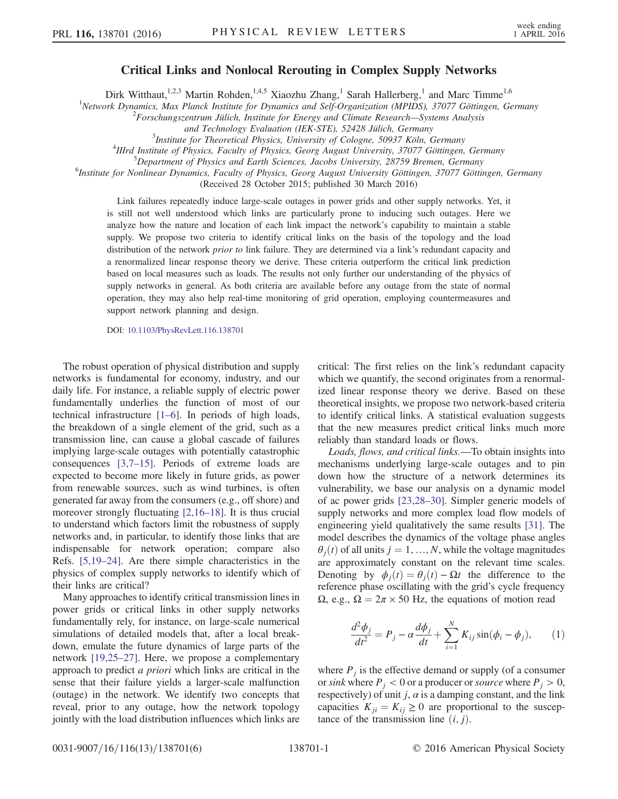## Critical Links and Nonlocal Rerouting in Complex Supply Networks

Dirk Witthaut,<sup>1,2,3</sup> Martin Rohden,<sup>1,4,5</sup> Xiaozhu Zhang,<sup>1</sup> Sarah Hallerberg,<sup>1</sup> and Marc Timme<sup>1,6</sup>

<sup>1</sup>Network Dynamics, Max Planck Institute for Dynamics and Self-Organization (MPIDS), 37077 Göttingen, Germany<br><sup>2</sup>Eographyses artwww. Filiah, Institute for Francy and Climate Bessarsh, Systems Anglysis

 $2$ Forschungszentrum Jülich, Institute for Energy and Climate Research—Systems Analysis

and Technology Evaluation (IEK-STE), 52428 Jülich, Germany <sup>3</sup>

 $3$ Institute for Theoretical Physics, University of Cologne, 50937 Köln, Germany

<sup>4</sup>IIIrd Institute of Physics, Faculty of Physics, Georg August University, 37077 Göttingen, Germany

<sup>5</sup>Department of Physics and Earth Sciences, Jacobs University, 28759 Bremen, Germany

<sup>6</sup>Institute for Nonlinear Dynamics, Faculty of Physics, Georg August University Göttingen, 37077 Göttingen, Germany

(Received 28 October 2015; published 30 March 2016)

Link failures repeatedly induce large-scale outages in power grids and other supply networks. Yet, it is still not well understood which links are particularly prone to inducing such outages. Here we analyze how the nature and location of each link impact the network's capability to maintain a stable supply. We propose two criteria to identify critical links on the basis of the topology and the load distribution of the network *prior to* link failure. They are determined via a link's redundant capacity and a renormalized linear response theory we derive. These criteria outperform the critical link prediction based on local measures such as loads. The results not only further our understanding of the physics of supply networks in general. As both criteria are available before any outage from the state of normal operation, they may also help real-time monitoring of grid operation, employing countermeasures and support network planning and design.

DOI: [10.1103/PhysRevLett.116.138701](http://dx.doi.org/10.1103/PhysRevLett.116.138701)

The robust operation of physical distribution and supply networks is fundamental for economy, industry, and our daily life. For instance, a reliable supply of electric power fundamentally underlies the function of most of our technical infrastructure [1–[6\].](#page-4-0) In periods of high loads, the breakdown of a single element of the grid, such as a transmission line, can cause a global cascade of failures implying large-scale outages with potentially catastrophic consequences [\[3,7](#page-4-1)–15]. Periods of extreme loads are expected to become more likely in future grids, as power from renewable sources, such as wind turbines, is often generated far away from the consumers (e.g., off shore) and moreover strongly fluctuating [\[2,16](#page-4-2)–18]. It is thus crucial to understand which factors limit the robustness of supply networks and, in particular, to identify those links that are indispensable for network operation; compare also Refs. [\[5,19](#page-4-3)–24]. Are there simple characteristics in the physics of complex supply networks to identify which of their links are critical?

Many approaches to identify critical transmission lines in power grids or critical links in other supply networks fundamentally rely, for instance, on large-scale numerical simulations of detailed models that, after a local breakdown, emulate the future dynamics of large parts of the network [\[19,25](#page-4-4)–27]. Here, we propose a complementary approach to predict a priori which links are critical in the sense that their failure yields a larger-scale malfunction (outage) in the network. We identify two concepts that reveal, prior to any outage, how the network topology jointly with the load distribution influences which links are

critical: The first relies on the link's redundant capacity which we quantify, the second originates from a renormalized linear response theory we derive. Based on these theoretical insights, we propose two network-based criteria to identify critical links. A statistical evaluation suggests that the new measures predict critical links much more reliably than standard loads or flows.

Loads, flows, and critical links.—To obtain insights into mechanisms underlying large-scale outages and to pin down how the structure of a network determines its vulnerability, we base our analysis on a dynamic model of ac power grids [\[23,28](#page-4-5)–30]. Simpler generic models of supply networks and more complex load flow models of engineering yield qualitatively the same results [\[31\]](#page-4-6). The model describes the dynamics of the voltage phase angles  $\theta_i(t)$  of all units  $j = 1, ..., N$ , while the voltage magnitudes are approximately constant on the relevant time scales. Denoting by  $\phi_i(t) = \theta_i(t) - \Omega t$  the difference to the reference phase oscillating with the grid's cycle frequency  $Ω$ , e.g.,  $Ω = 2π × 50$  Hz, the equations of motion read

<span id="page-0-0"></span>
$$
\frac{d^2\phi_j}{dt^2} = P_j - \alpha \frac{d\phi_j}{dt} + \sum_{i=1}^N K_{ij} \sin(\phi_i - \phi_j), \qquad (1)
$$

where  $P_i$  is the effective demand or supply (of a consumer or sink where  $P_i < 0$  or a producer or source where  $P_i > 0$ , respectively) of unit j,  $\alpha$  is a damping constant, and the link capacities  $K_{ii} = K_{ii} \geq 0$  are proportional to the susceptance of the transmission line  $(i, j)$ .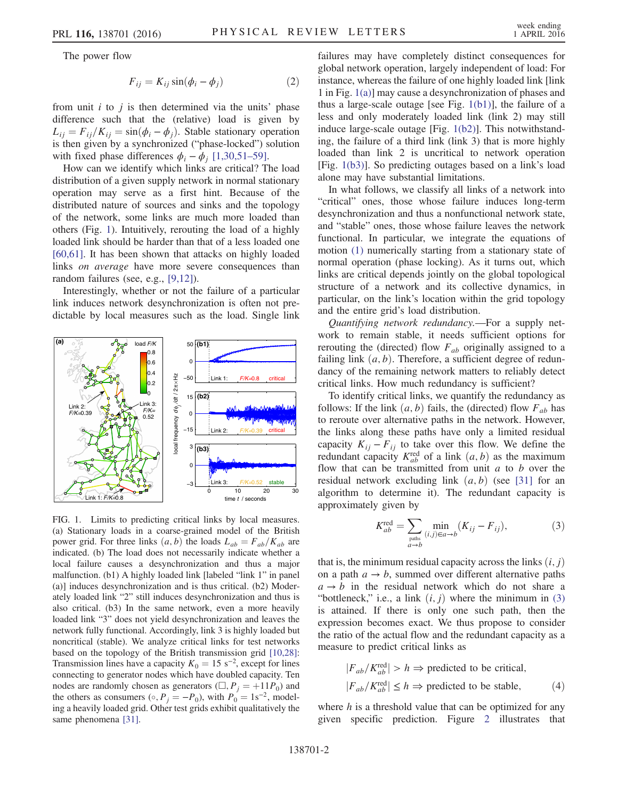<span id="page-1-3"></span>The power flow

$$
F_{ij} = K_{ij} \sin(\phi_i - \phi_j) \tag{2}
$$

from unit  $i$  to  $j$  is then determined via the units' phase difference such that the (relative) load is given by  $L_{ij} = F_{ij}/K_{ij} = \sin(\phi_i - \phi_j)$ . Stable stationary operation is then given by a synchronized ("phase-locked") solution with fixed phase differences  $\phi_i - \phi_i$  [\[1,30,51](#page-4-0)–59].

How can we identify which links are critical? The load distribution of a given supply network in normal stationary operation may serve as a first hint. Because of the distributed nature of sources and sinks and the topology of the network, some links are much more loaded than others (Fig. [1](#page-1-0)). Intuitively, rerouting the load of a highly loaded link should be harder than that of a less loaded one [\[60,61\]](#page-5-0). It has been shown that attacks on highly loaded links on average have more severe consequences than random failures (see, e.g., [\[9,12\]](#page-4-7)).

Interestingly, whether or not the failure of a particular link induces network desynchronization is often not predictable by local measures such as the load. Single link

<span id="page-1-0"></span>

FIG. 1. Limits to predicting critical links by local measures. (a) Stationary loads in a coarse-grained model of the British power grid. For three links  $(a, b)$  the loads  $L_{ab} = F_{ab}/K_{ab}$  are indicated. (b) The load does not necessarily indicate whether a local failure causes a desynchronization and thus a major malfunction. (b1) A highly loaded link [labeled "link 1" in panel (a)] induces desynchronization and is thus critical. (b2) Moderately loaded link "2" still induces desynchronization and thus is also critical. (b3) In the same network, even a more heavily loaded link "3" does not yield desynchronization and leaves the network fully functional. Accordingly, link 3 is highly loaded but noncritical (stable). We analyze critical links for test networks based on the topology of the British transmission grid [\[10,28\]](#page-4-8): Transmission lines have a capacity  $K_0 = 15 \text{ s}^{-2}$ , except for lines connecting to generator nodes which have doubled capacity. Ten nodes are randomly chosen as generators  $(\Box, P_j = +11P_0)$  and the others as consumers ( $\circ$ ,  $P_j = -P_0$ ), with  $P_0 = 1$ s<sup>-2</sup>, modeling a heavily loaded grid. Other test grids exhibit qualitatively the same phenomena [\[31\]](#page-4-6).

failures may have completely distinct consequences for global network operation, largely independent of load: For instance, whereas the failure of one highly loaded link [link 1 in Fig. [1\(a\)](#page-1-0)] may cause a desynchronization of phases and thus a large-scale outage [see Fig.  $1(b1)$ ], the failure of a less and only moderately loaded link (link 2) may still induce large-scale outage [Fig. [1\(b2\)](#page-1-0)]. This notwithstanding, the failure of a third link (link 3) that is more highly loaded than link 2 is uncritical to network operation [Fig. [1\(b3\)\]](#page-1-0). So predicting outages based on a link's load alone may have substantial limitations.

In what follows, we classify all links of a network into "critical" ones, those whose failure induces long-term desynchronization and thus a nonfunctional network state, and "stable" ones, those whose failure leaves the network functional. In particular, we integrate the equations of motion [\(1\)](#page-0-0) numerically starting from a stationary state of normal operation (phase locking). As it turns out, which links are critical depends jointly on the global topological structure of a network and its collective dynamics, in particular, on the link's location within the grid topology and the entire grid's load distribution.

Quantifying network redundancy.—For a supply network to remain stable, it needs sufficient options for rerouting the (directed) flow  $F_{ab}$  originally assigned to a failing link  $(a, b)$ . Therefore, a sufficient degree of redundancy of the remaining network matters to reliably detect critical links. How much redundancy is sufficient?

To identify critical links, we quantify the redundancy as follows: If the link  $(a, b)$  fails, the (directed) flow  $F_{ab}$  has to reroute over alternative paths in the network. However, the links along these paths have only a limited residual capacity  $K_{ij} - F_{ij}$  to take over this flow. We define the redundant capacity  $K_{ab}^{\text{red}}$  of a link  $(a, b)$  as the maximum flow that can be transmitted from unit  $a$  to  $b$  over the residual network excluding link  $(a, b)$  (see [\[31\]](#page-4-6) for an algorithm to determine it). The redundant capacity is approximately given by

<span id="page-1-1"></span>
$$
K_{ab}^{\text{red}} = \sum_{\text{paths} \atop a \to b} \min_{(i,j) \in a \to b} (K_{ij} - F_{ij}), \tag{3}
$$

that is, the minimum residual capacity across the links  $(i, j)$ on a path  $a \rightarrow b$ , summed over different alternative paths  $a \rightarrow b$  in the residual network which do not share a "bottleneck," i.e., a link  $(i, j)$  where the minimum in [\(3\)](#page-1-1) is attained. If there is only one such path, then the expression becomes exact. We thus propose to consider the ratio of the actual flow and the redundant capacity as a measure to predict critical links as

<span id="page-1-2"></span>
$$
|F_{ab}/K_{ab}^{\text{red}}| > h \Rightarrow \text{predicted to be critical,}
$$
  

$$
|F_{ab}/K_{ab}^{\text{red}}| \le h \Rightarrow \text{predicted to be stable,}
$$
 (4)

where  $h$  is a threshold value that can be optimized for any given specific prediction. Figure [2](#page-2-0) illustrates that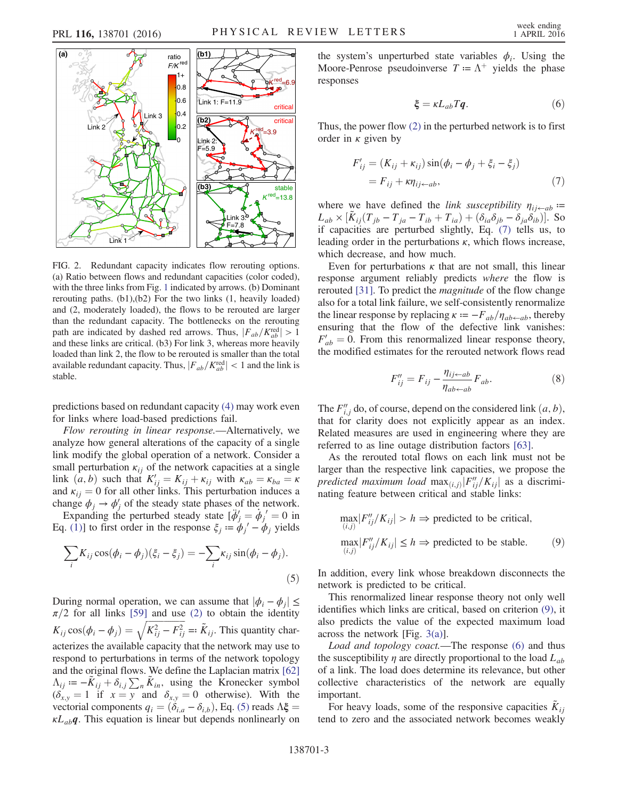<span id="page-2-0"></span>

FIG. 2. Redundant capacity indicates flow rerouting options. (a) Ratio between flows and redundant capacities (color coded), with the three links from Fig. [1](#page-1-0) indicated by arrows. (b) Dominant rerouting paths. (b1),(b2) For the two links (1, heavily loaded) and (2, moderately loaded), the flows to be rerouted are larger than the redundant capacity. The bottlenecks on the rerouting path are indicated by dashed red arrows. Thus,  $|F_{ab}/K_{ab}^{\text{red}}| > 1$ and these links are critical. (b3) For link 3, whereas more heavily loaded than link 2, the flow to be rerouted is smaller than the total available redundant capacity. Thus,  $|F_{ab}/K_{ab}^{\text{red}}| < 1$  and the link is stable.

predictions based on redundant capacity [\(4\)](#page-1-2) may work even for links where load-based predictions fail.

Flow rerouting in linear response.—Alternatively, we analyze how general alterations of the capacity of a single link modify the global operation of a network. Consider a small perturbation  $\kappa_{ij}$  of the network capacities at a single link  $(a, b)$  such that  $K'_{ij} = K_{ij} + \kappa_{ij}$  with  $\kappa_{ab} = \kappa_{ba} = \kappa_{ab}$ and  $\kappa_{ij} = 0$  for all other links. This perturbation induces a change  $\phi_i \rightarrow \phi'_i$  of the steady state phases of the network.

<span id="page-2-1"></span>Expanding the perturbed steady state  $[\ddot{\phi}'_j = \dot{\phi}_j]' = 0$  in Eq. [\(1\)\]](#page-0-0) to first order in the response  $\xi_i = \phi_i' - \phi_i$  yields

$$
\sum_{i} K_{ij} \cos(\phi_i - \phi_j)(\xi_i - \xi_j) = -\sum_{i} \kappa_{ij} \sin(\phi_i - \phi_j).
$$
\n(5)

During normal operation, we can assume that  $|\phi_i - \phi_j| \leq$  $\pi/2$  for all links [\[59\]](#page-5-1) and use [\(2\)](#page-1-3) to obtain the identity  $K_{ij}\cos(\phi_i - \phi_j) = \sqrt{K_{ij}^2 - F_{ij}^2} =: \tilde{K}_{ij}$ . This quantity characterizes the available capacity that the network may use to respond to perturbations in terms of the network topology and the original flows. We define the Laplacian matrix [\[62\]](#page-5-2)  $\Lambda_{ij} = -\overline{K}_{ij} + \delta_{i,j} \sum_{n} \overline{K}_{in}$ , using the Kronecker symbol  $(\delta_{x,y} = 1$  if  $x = y$  and  $\delta_{x,y} = 0$  otherwise). With the vectorial components  $q_i = (\delta_{i,a} - \delta_{i,b})$ , Eq. [\(5\)](#page-2-1) reads  $\Lambda \xi$  =  $\kappa L_{ab}$ *q*. This equation is linear but depends nonlinearly on <span id="page-2-4"></span>the system's unperturbed state variables  $\phi_i$ . Using the Moore-Penrose pseudoinverse  $T = \Lambda^+$  yields the phase responses

$$
\xi = \kappa L_{ab} Tq. \tag{6}
$$

<span id="page-2-2"></span>Thus, the power flow [\(2\)](#page-1-3) in the perturbed network is to first order in  $\kappa$  given by

$$
F'_{ij} = (K_{ij} + \kappa_{ij}) \sin(\phi_i - \phi_j + \xi_i - \xi_j)
$$
  
=  $F_{ij} + \kappa \eta_{ij \leftarrow ab}$ , (7)

where we have defined the *link susceptibility*  $\eta_{ij \leftarrow ab}$  =  $L_{ab} \times [\tilde{K}_{ij}(T_{jb} - T_{ja} - T_{ib} + T_{ia}) + (\delta_{ia}\delta_{jb} - \delta_{ja}\delta_{ib})]$ . So if capacities are perturbed slightly, Eq. [\(7\)](#page-2-2) tells us, to leading order in the perturbations  $\kappa$ , which flows increase, which decrease, and how much.

Even for perturbations  $\kappa$  that are not small, this linear response argument reliably predicts where the flow is rerouted [\[31\].](#page-4-6) To predict the magnitude of the flow change also for a total link failure, we self-consistently renormalize the linear response by replacing  $\kappa = -F_{ab}/\eta_{ab \leftarrow ab}$ , thereby ensuring that the flow of the defective link vanishes:  $F'_{ab} = 0$ . From this renormalized linear response theory, the modified estimates for the rerouted network flows read

$$
F_{ij}'' = F_{ij} - \frac{\eta_{ij \leftarrow ab}}{\eta_{ab \leftarrow ab}} F_{ab}.
$$
 (8)

The  $F_{i,j}^{\prime\prime}$  do, of course, depend on the considered link  $(a, b)$ , that for clarity does not explicitly appear as an index. Related measures are used in engineering where they are referred to as line outage distribution factors [\[63\]](#page-5-3).

<span id="page-2-3"></span>As the rerouted total flows on each link must not be larger than the respective link capacities, we propose the predicted maximum load  $\max_{(i,j)} [F_{ij}''/K_{ij}]$  as a discriminating feature between critical and stable links:

$$
\max_{(i,j)} |F''_{ij}/K_{ij}| > h \Rightarrow \text{predicted to be critical,}
$$
\n
$$
\max_{(i,j)} |F''_{ij}/K_{ij}| \le h \Rightarrow \text{predicted to be stable.}
$$
\n(9)

In addition, every link whose breakdown disconnects the network is predicted to be critical.

This renormalized linear response theory not only well identifies which links are critical, based on criterion [\(9\),](#page-2-3) it also predicts the value of the expected maximum load across the network [Fig. [3\(a\)\]](#page-3-0).

Load and topology coact.—The response [\(6\)](#page-2-4) and thus the susceptibility  $\eta$  are directly proportional to the load  $L_{ab}$ of a link. The load does determine its relevance, but other collective characteristics of the network are equally important.

For heavy loads, some of the responsive capacities  $K_{ii}$ tend to zero and the associated network becomes weakly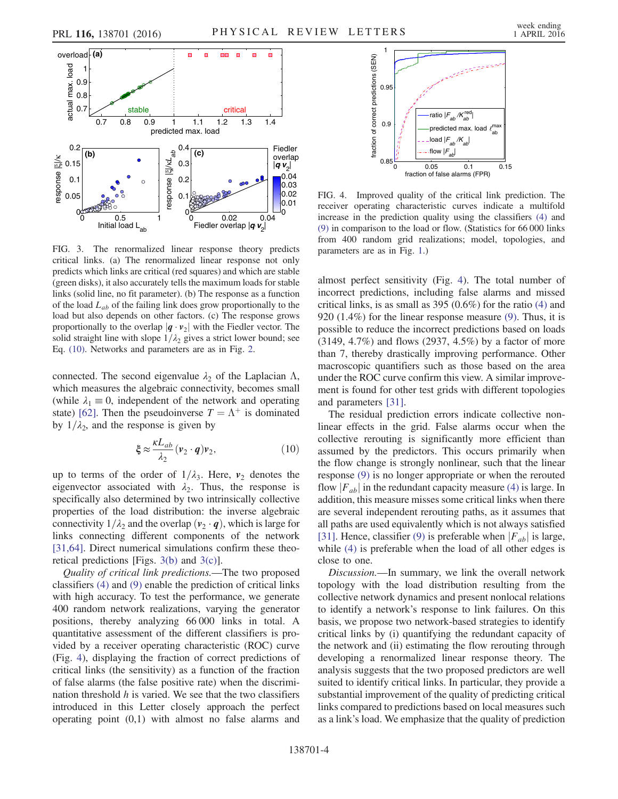<span id="page-3-0"></span>

FIG. 3. The renormalized linear response theory predicts critical links. (a) The renormalized linear response not only predicts which links are critical (red squares) and which are stable (green disks), it also accurately tells the maximum loads for stable links (solid line, no fit parameter). (b) The response as a function of the load  $L_{ab}$  of the failing link does grow proportionally to the load but also depends on other factors. (c) The response grows proportionally to the overlap  $|q \cdot v_2|$  with the Fiedler vector. The solid straight line with slope  $1/\lambda_2$  gives a strict lower bound; see Eq. [\(10\).](#page-3-2) Networks and parameters are as in Fig. [2.](#page-2-0)

<span id="page-3-2"></span>connected. The second eigenvalue  $\lambda_2$  of the Laplacian  $\Lambda$ , which measures the algebraic connectivity, becomes small (while  $\lambda_1 \equiv 0$ , independent of the network and operating state) [\[62\]](#page-5-2). Then the pseudoinverse  $T = \Lambda^+$  is dominated by  $1/\lambda_2$ , and the response is given by

$$
\xi \approx \frac{\kappa L_{ab}}{\lambda_2} (\mathbf{v}_2 \cdot \mathbf{q}) \mathbf{v}_2, \tag{10}
$$

up to terms of the order of  $1/\lambda_3$ . Here,  $v_2$  denotes the eigenvector associated with  $\lambda_2$ . Thus, the response is specifically also determined by two intrinsically collective properties of the load distribution: the inverse algebraic connectivity  $1/\lambda_2$  and the overlap  $(v_2 \cdot q)$ , which is large for links connecting different components of the network [\[31,64\]](#page-4-6). Direct numerical simulations confirm these theoretical predictions [Figs. [3\(b\)](#page-3-0) and [3\(c\)\]](#page-3-0).

Quality of critical link predictions.—The two proposed classifiers [\(4\)](#page-1-2) and [\(9\)](#page-2-3) enable the prediction of critical links with high accuracy. To test the performance, we generate 400 random network realizations, varying the generator positions, thereby analyzing 66 000 links in total. A quantitative assessment of the different classifiers is provided by a receiver operating characteristic (ROC) curve (Fig. [4](#page-3-1)), displaying the fraction of correct predictions of critical links (the sensitivity) as a function of the fraction of false alarms (the false positive rate) when the discrimination threshold  $h$  is varied. We see that the two classifiers introduced in this Letter closely approach the perfect operating point (0,1) with almost no false alarms and

<span id="page-3-1"></span>

FIG. 4. Improved quality of the critical link prediction. The receiver operating characteristic curves indicate a multifold increase in the prediction quality using the classifiers [\(4\)](#page-1-2) and [\(9\)](#page-2-3) in comparison to the load or flow. (Statistics for 66 000 links from 400 random grid realizations; model, topologies, and parameters are as in Fig. [1](#page-1-0).)

almost perfect sensitivity (Fig. [4\)](#page-3-1). The total number of incorrect predictions, including false alarms and missed critical links, is as small as 395 (0.6%) for the ratio [\(4\)](#page-1-2) and 920 (1.4%) for the linear response measure [\(9\)](#page-2-3). Thus, it is possible to reduce the incorrect predictions based on loads (3149, 4.7%) and flows (2937, 4.5%) by a factor of more than 7, thereby drastically improving performance. Other macroscopic quantifiers such as those based on the area under the ROC curve confirm this view. A similar improvement is found for other test grids with different topologies and parameters [\[31\].](#page-4-6)

The residual prediction errors indicate collective nonlinear effects in the grid. False alarms occur when the collective rerouting is significantly more efficient than assumed by the predictors. This occurs primarily when the flow change is strongly nonlinear, such that the linear response [\(9\)](#page-2-3) is no longer appropriate or when the rerouted flow  $|F_{ab}|$  in the redundant capacity measure [\(4\)](#page-1-2) is large. In addition, this measure misses some critical links when there are several independent rerouting paths, as it assumes that all paths are used equivalently which is not always satisfied [\[31\]](#page-4-6). Hence, classifier [\(9\)](#page-2-3) is preferable when  $|F_{ab}|$  is large, while [\(4\)](#page-1-2) is preferable when the load of all other edges is close to one.

Discussion.—In summary, we link the overall network topology with the load distribution resulting from the collective network dynamics and present nonlocal relations to identify a network's response to link failures. On this basis, we propose two network-based strategies to identify critical links by (i) quantifying the redundant capacity of the network and (ii) estimating the flow rerouting through developing a renormalized linear response theory. The analysis suggests that the two proposed predictors are well suited to identify critical links. In particular, they provide a substantial improvement of the quality of predicting critical links compared to predictions based on local measures such as a link's load. We emphasize that the quality of prediction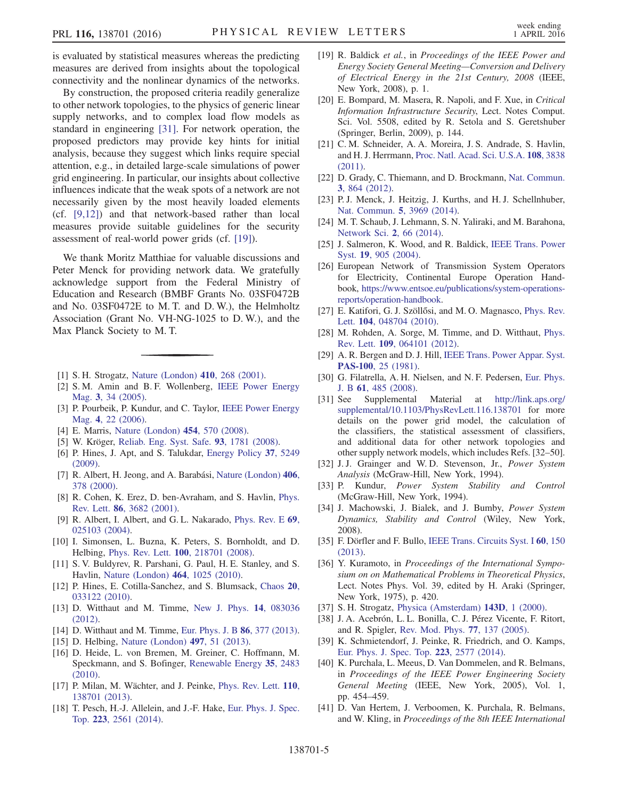is evaluated by statistical measures whereas the predicting measures are derived from insights about the topological connectivity and the nonlinear dynamics of the networks.

By construction, the proposed criteria readily generalize to other network topologies, to the physics of generic linear supply networks, and to complex load flow models as standard in engineering [\[31\]](#page-4-6). For network operation, the proposed predictors may provide key hints for initial analysis, because they suggest which links require special attention, e.g., in detailed large-scale simulations of power grid engineering. In particular, our insights about collective influences indicate that the weak spots of a network are not necessarily given by the most heavily loaded elements (cf. [\[9,12\]](#page-4-7)) and that network-based rather than local measures provide suitable guidelines for the security assessment of real-world power grids (cf. [\[19\]](#page-4-4)).

We thank Moritz Matthiae for valuable discussions and Peter Menck for providing network data. We gratefully acknowledge support from the Federal Ministry of Education and Research (BMBF Grants No. 03SF0472B and No. 03SF0472E to M. T. and D. W.), the Helmholtz Association (Grant No. VH-NG-1025 to D. W.), and the Max Planck Society to M. T.

- <span id="page-4-2"></span><span id="page-4-0"></span>[1] S. H. Strogatz, [Nature \(London\)](http://dx.doi.org/10.1038/35065725) 410, 268 (2001).
- <span id="page-4-1"></span>[2] S. M. Amin and B. F. Wollenberg, [IEEE Power Energy](http://dx.doi.org/10.1109/MPAE.2005.1507024) Mag. 3[, 34 \(2005\)](http://dx.doi.org/10.1109/MPAE.2005.1507024).
- [3] P. Pourbeik, P. Kundur, and C. Taylor, [IEEE Power Energy](http://dx.doi.org/10.1109/MPAE.2006.1687814) Mag. 4[, 22 \(2006\)](http://dx.doi.org/10.1109/MPAE.2006.1687814).
- <span id="page-4-3"></span>[4] E. Marris, [Nature \(London\)](http://dx.doi.org/10.1038/454570a) 454, 570 (2008).
- [5] W. Kröger, [Reliab. Eng. Syst. Safe.](http://dx.doi.org/10.1016/j.ress.2008.03.005) 93, 1781 (2008).
- [6] P. Hines, J. Apt, and S. Talukdar, [Energy Policy](http://dx.doi.org/10.1016/j.enpol.2009.07.049) 37, 5249 [\(2009\).](http://dx.doi.org/10.1016/j.enpol.2009.07.049)
- [7] R. Albert, H. Jeong, and A. Barabási, [Nature \(London\)](http://dx.doi.org/10.1038/35019019) 406, [378 \(2000\)](http://dx.doi.org/10.1038/35019019).
- <span id="page-4-7"></span>[8] R. Cohen, K. Erez, D. ben-Avraham, and S. Havlin, [Phys.](http://dx.doi.org/10.1103/PhysRevLett.86.3682) Rev. Lett. 86[, 3682 \(2001\)](http://dx.doi.org/10.1103/PhysRevLett.86.3682).
- <span id="page-4-8"></span>[9] R. Albert, I. Albert, and G. L. Nakarado, [Phys. Rev. E](http://dx.doi.org/10.1103/PhysRevE.69.025103) 69, [025103 \(2004\).](http://dx.doi.org/10.1103/PhysRevE.69.025103)
- [10] I. Simonsen, L. Buzna, K. Peters, S. Bornholdt, and D. Helbing, Phys. Rev. Lett. 100[, 218701 \(2008\).](http://dx.doi.org/10.1103/PhysRevLett.100.218701)
- [11] S. V. Buldyrev, R. Parshani, G. Paul, H. E. Stanley, and S. Havlin, [Nature \(London\)](http://dx.doi.org/10.1038/nature08932) 464, 1025 (2010).
- [12] P. Hines, E. Cotilla-Sanchez, and S. Blumsack, [Chaos](http://dx.doi.org/10.1063/1.3489887) 20, [033122 \(2010\).](http://dx.doi.org/10.1063/1.3489887)
- [13] D. Witthaut and M. Timme, [New J. Phys.](http://dx.doi.org/10.1088/1367-2630/14/8/083036) 14, 083036 [\(2012\).](http://dx.doi.org/10.1088/1367-2630/14/8/083036)
- [14] D. Witthaut and M. Timme, [Eur. Phys. J. B](http://dx.doi.org/10.1140/epjb/e2013-40469-4) **86**, 377 (2013).
- [15] D. Helbing, [Nature \(London\)](http://dx.doi.org/10.1038/nature12047) **497**, 51 (2013).
- [16] D. Heide, L. von Bremen, M. Greiner, C. Hoffmann, M. Speckmann, and S. Bofinger, [Renewable Energy](http://dx.doi.org/10.1016/j.renene.2010.03.012) 35, 2483 [\(2010\).](http://dx.doi.org/10.1016/j.renene.2010.03.012)
- [17] P. Milan, M. Wächter, and J. Peinke, [Phys. Rev. Lett.](http://dx.doi.org/10.1103/PhysRevLett.110.138701) 110, [138701 \(2013\).](http://dx.doi.org/10.1103/PhysRevLett.110.138701)
- [18] T. Pesch, H.-J. Allelein, and J.-F. Hake, [Eur. Phys. J. Spec.](http://dx.doi.org/10.1140/epjst/e2014-02214-y) Top. 223[, 2561 \(2014\)](http://dx.doi.org/10.1140/epjst/e2014-02214-y).
- <span id="page-4-4"></span>[19] R. Baldick et al., in Proceedings of the IEEE Power and Energy Society General Meeting—Conversion and Delivery of Electrical Energy in the 21st Century, 2008 (IEEE, New York, 2008), p. 1.
- [20] E. Bompard, M. Masera, R. Napoli, and F. Xue, in Critical Information Infrastructure Security, Lect. Notes Comput. Sci. Vol. 5508, edited by R. Setola and S. Geretshuber (Springer, Berlin, 2009), p. 144.
- [21] C. M. Schneider, A. A. Moreira, J. S. Andrade, S. Havlin, and H. J. Herrmann, [Proc. Natl. Acad. Sci. U.S.A.](http://dx.doi.org/10.1073/pnas.1009440108) 108, 3838 [\(2011\).](http://dx.doi.org/10.1073/pnas.1009440108)
- [22] D. Grady, C. Thiemann, and D. Brockmann, [Nat. Commun.](http://dx.doi.org/10.1038/ncomms1847) 3[, 864 \(2012\).](http://dx.doi.org/10.1038/ncomms1847)
- <span id="page-4-5"></span>[23] P.J. Menck, J. Heitzig, J. Kurths, and H.J. Schellnhuber, [Nat. Commun.](http://dx.doi.org/10.1038/ncomms4969) 5, 3969 (2014).
- [24] M. T. Schaub, J. Lehmann, S. N. Yaliraki, and M. Barahona, [Network Sci.](http://dx.doi.org/10.1017/nws.2014.4) 2, 66 (2014).
- [25] J. Salmeron, K. Wood, and R. Baldick, [IEEE Trans. Power](http://dx.doi.org/10.1109/TPWRS.2004.825888) Syst. 19[, 905 \(2004\).](http://dx.doi.org/10.1109/TPWRS.2004.825888)
- [26] European Network of Transmission System Operators for Electricity, Continental Europe Operation Handbook, [https://www.entsoe.eu/publications/system](https://www.entsoe.eu/publications/system-operations-reports/operation-handbook)-operations[reports/operation](https://www.entsoe.eu/publications/system-operations-reports/operation-handbook)‑handbook.
- [27] E. Katifori, G. J. Szöllősi, and M. O. Magnasco, [Phys. Rev.](http://dx.doi.org/10.1103/PhysRevLett.104.048704) Lett. 104[, 048704 \(2010\)](http://dx.doi.org/10.1103/PhysRevLett.104.048704).
- [28] M. Rohden, A. Sorge, M. Timme, and D. Witthaut, [Phys.](http://dx.doi.org/10.1103/PhysRevLett.109.064101) Rev. Lett. 109[, 064101 \(2012\).](http://dx.doi.org/10.1103/PhysRevLett.109.064101)
- [29] A. R. Bergen and D. J. Hill, [IEEE Trans. Power Appar. Syst.](http://dx.doi.org/10.1109/TPAS.1981.316883) PAS-100[, 25 \(1981\).](http://dx.doi.org/10.1109/TPAS.1981.316883)
- [30] G. Filatrella, A. H. Nielsen, and N. F. Pedersen, [Eur. Phys.](http://dx.doi.org/10.1140/epjb/e2008-00098-8) J. B 61[, 485 \(2008\).](http://dx.doi.org/10.1140/epjb/e2008-00098-8)
- <span id="page-4-6"></span>[31] See Supplemental Material at [http://link.aps.org/](http://link.aps.org/supplemental/10.1103/PhysRevLett.116.138701) [supplemental/10.1103/PhysRevLett.116.138701](http://link.aps.org/supplemental/10.1103/PhysRevLett.116.138701) for more details on the power grid model, the calculation of the classifiers, the statistical assessment of classifiers, and additional data for other network topologies and other supply network models, which includes Refs. [32–50].
- [32] J.J. Grainger and W.D. Stevenson, Jr., Power System Analysis (McGraw-Hill, New York, 1994).
- [33] P. Kundur, Power System Stability and Control (McGraw-Hill, New York, 1994).
- [34] J. Machowski, J. Bialek, and J. Bumby, Power System Dynamics, Stability and Control (Wiley, New York, 2008).
- [35] F. Dörfler and F. Bullo, [IEEE Trans. Circuits Syst. I](http://dx.doi.org/10.1109/TCSI.2012.2215780) 60, 150 [\(2013\).](http://dx.doi.org/10.1109/TCSI.2012.2215780)
- [36] Y. Kuramoto, in Proceedings of the International Symposium on on Mathematical Problems in Theoretical Physics, Lect. Notes Phys. Vol. 39, edited by H. Araki (Springer, New York, 1975), p. 420.
- [37] S. H. Strogatz, [Physica \(Amsterdam\)](http://dx.doi.org/10.1016/S0167-2789(00)00094-4) **143D**, 1 (2000).
- [38] J. A. Acebrón, L. L. Bonilla, C. J. Pérez Vicente, F. Ritort, and R. Spigler, [Rev. Mod. Phys.](http://dx.doi.org/10.1103/RevModPhys.77.137) 77, 137 (2005).
- [39] K. Schmietendorf, J. Peinke, R. Friedrich, and O. Kamps, [Eur. Phys. J. Spec. Top.](http://dx.doi.org/10.1140/epjst/e2014-02209-8) 223, 2577 (2014).
- [40] K. Purchala, L. Meeus, D. Van Dommelen, and R. Belmans, in Proceedings of the IEEE Power Engineering Society General Meeting (IEEE, New York, 2005), Vol. 1, pp. 454–459.
- [41] D. Van Hertem, J. Verboomen, K. Purchala, R. Belmans, and W. Kling, in Proceedings of the 8th IEEE International